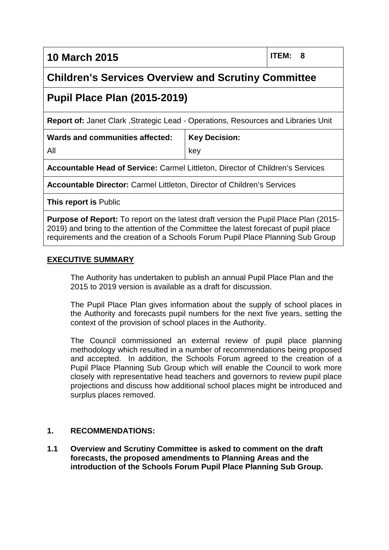**10 March 2015 ITEM: 8**

# **Children's Services Overview and Scrutiny Committee**

# **Pupil Place Plan (2015-2019)**

**Report of:** Janet Clark ,Strategic Lead - Operations, Resources and Libraries Unit

key

**Key Decision:**

**Wards and communities affected:** All

**Accountable Head of Service:** Carmel Littleton, Director of Children's Services

**Accountable Director:** Carmel Littleton, Director of Children's Services

**This report is** Public

**Purpose of Report:** To report on the latest draft version the Pupil Place Plan (2015- 2019) and bring to the attention of the Committee the latest forecast of pupil place requirements and the creation of a Schools Forum Pupil Place Planning Sub Group

### **EXECUTIVE SUMMARY**

The Authority has undertaken to publish an annual Pupil Place Plan and the 2015 to 2019 version is available as a draft for discussion.

The Pupil Place Plan gives information about the supply of school places in the Authority and forecasts pupil numbers for the next five years, setting the context of the provision of school places in the Authority.

The Council commissioned an external review of pupil place planning methodology which resulted in a number of recommendations being proposed and accepted. In addition, the Schools Forum agreed to the creation of a Pupil Place Planning Sub Group which will enable the Council to work more closely with representative head teachers and governors to review pupil place projections and discuss how additional school places might be introduced and surplus places removed.

# **1. RECOMMENDATIONS:**

**1.1 Overview and Scrutiny Committee is asked to comment on the draft forecasts, the proposed amendments to Planning Areas and the introduction of the Schools Forum Pupil Place Planning Sub Group.**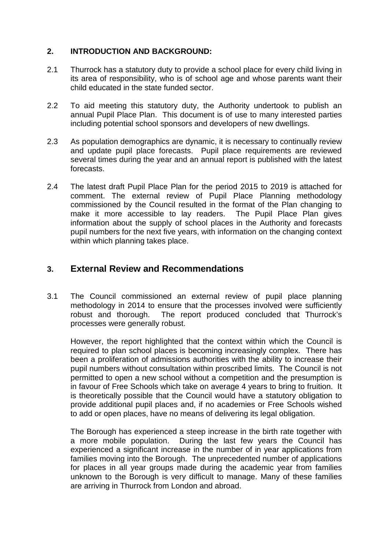### **2. INTRODUCTION AND BACKGROUND:**

- 2.1 Thurrock has a statutory duty to provide a school place for every child living in its area of responsibility, who is of school age and whose parents want their child educated in the state funded sector.
- 2.2 To aid meeting this statutory duty, the Authority undertook to publish an annual Pupil Place Plan. This document is of use to many interested parties including potential school sponsors and developers of new dwellings.
- 2.3 As population demographics are dynamic, it is necessary to continually review and update pupil place forecasts. Pupil place requirements are reviewed several times during the year and an annual report is published with the latest forecasts.
- 2.4 The latest draft Pupil Place Plan for the period 2015 to 2019 is attached for comment. The external review of Pupil Place Planning methodology commissioned by the Council resulted in the format of the Plan changing to make it more accessible to lay readers. The Pupil Place Plan gives information about the supply of school places in the Authority and forecasts pupil numbers for the next five years, with information on the changing context within which planning takes place.

# **3. External Review and Recommendations**

3.1 The Council commissioned an external review of pupil place planning methodology in 2014 to ensure that the processes involved were sufficiently robust and thorough. The report produced concluded that Thurrock's processes were generally robust.

However, the report highlighted that the context within which the Council is required to plan school places is becoming increasingly complex. There has been a proliferation of admissions authorities with the ability to increase their pupil numbers without consultation within proscribed limits. The Council is not permitted to open a new school without a competition and the presumption is in favour of Free Schools which take on average 4 years to bring to fruition. It is theoretically possible that the Council would have a statutory obligation to provide additional pupil places and, if no academies or Free Schools wished to add or open places, have no means of delivering its legal obligation.

The Borough has experienced a steep increase in the birth rate together with a more mobile population. During the last few years the Council has experienced a significant increase in the number of in year applications from families moving into the Borough. The unprecedented number of applications for places in all year groups made during the academic year from families unknown to the Borough is very difficult to manage. Many of these families are arriving in Thurrock from London and abroad.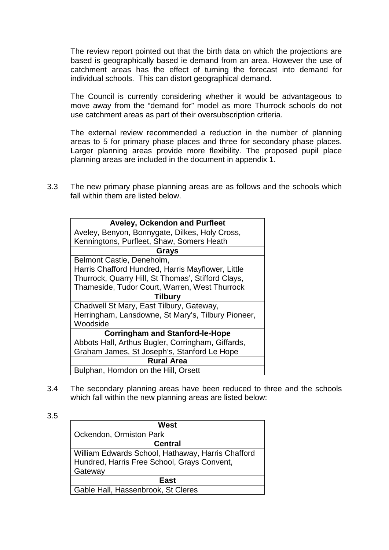The review report pointed out that the birth data on which the projections are based is geographically based ie demand from an area. However the use of catchment areas has the effect of turning the forecast into demand for individual schools. This can distort geographical demand.

The Council is currently considering whether it would be advantageous to move away from the "demand for" model as more Thurrock schools do not use catchment areas as part of their oversubscription criteria.

The external review recommended a reduction in the number of planning areas to 5 for primary phase places and three for secondary phase places. Larger planning areas provide more flexibility. The proposed pupil place planning areas are included in the document in appendix 1.

3.3 The new primary phase planning areas are as follows and the schools which fall within them are listed below.

| <b>Aveley, Ockendon and Purfleet</b>               |
|----------------------------------------------------|
| Aveley, Benyon, Bonnygate, Dilkes, Holy Cross,     |
| Kenningtons, Purfleet, Shaw, Somers Heath          |
| Grays                                              |
| Belmont Castle, Deneholm,                          |
| Harris Chafford Hundred, Harris Mayflower, Little  |
| Thurrock, Quarry Hill, St Thomas', Stifford Clays, |
| Thameside, Tudor Court, Warren, West Thurrock      |
| <b>Tilbury</b>                                     |
| Chadwell St Mary, East Tilbury, Gateway,           |
| Herringham, Lansdowne, St Mary's, Tilbury Pioneer, |
| Woodside                                           |
| <b>Corringham and Stanford-le-Hope</b>             |
| Abbots Hall, Arthus Bugler, Corringham, Giffards,  |
| Graham James, St Joseph's, Stanford Le Hope        |
| <b>Rural Area</b>                                  |
| Bulphan, Horndon on the Hill, Orsett               |

3.4 The secondary planning areas have been reduced to three and the schools which fall within the new planning areas are listed below:

| West                                              |
|---------------------------------------------------|
| Ockendon, Ormiston Park                           |
| <b>Central</b>                                    |
| William Edwards School, Hathaway, Harris Chafford |
| Hundred, Harris Free School, Grays Convent,       |
| Gateway                                           |
| East                                              |
| Gable Hall, Hassenbrook, St Cleres                |

3.5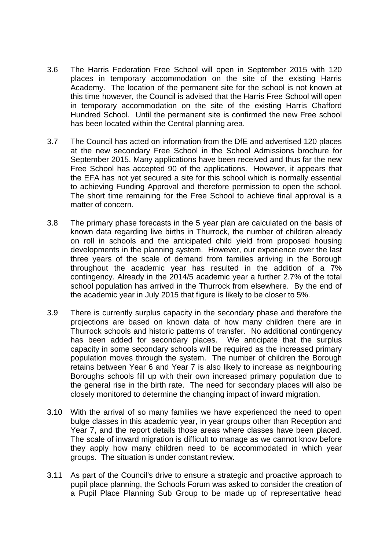- 3.6 The Harris Federation Free School will open in September 2015 with 120 places in temporary accommodation on the site of the existing Harris Academy. The location of the permanent site for the school is not known at this time however, the Council is advised that the Harris Free School will open in temporary accommodation on the site of the existing Harris Chafford Hundred School. Until the permanent site is confirmed the new Free school has been located within the Central planning area.
- 3.7 The Council has acted on information from the DfE and advertised 120 places at the new secondary Free School in the School Admissions brochure for September 2015. Many applications have been received and thus far the new Free School has accepted 90 of the applications. However, it appears that the EFA has not yet secured a site for this school which is normally essential to achieving Funding Approval and therefore permission to open the school. The short time remaining for the Free School to achieve final approval is a matter of concern.
- 3.8 The primary phase forecasts in the 5 year plan are calculated on the basis of known data regarding live births in Thurrock, the number of children already on roll in schools and the anticipated child yield from proposed housing developments in the planning system. However, our experience over the last three years of the scale of demand from families arriving in the Borough throughout the academic year has resulted in the addition of a 7% contingency. Already in the 2014/5 academic year a further 2.7% of the total school population has arrived in the Thurrock from elsewhere. By the end of the academic year in July 2015 that figure is likely to be closer to 5%.
- 3.9 There is currently surplus capacity in the secondary phase and therefore the projections are based on known data of how many children there are in Thurrock schools and historic patterns of transfer. No additional contingency has been added for secondary places. We anticipate that the surplus capacity in some secondary schools will be required as the increased primary population moves through the system. The number of children the Borough retains between Year 6 and Year 7 is also likely to increase as neighbouring Boroughs schools fill up with their own increased primary population due to the general rise in the birth rate. The need for secondary places will also be closely monitored to determine the changing impact of inward migration.
- 3.10 With the arrival of so many families we have experienced the need to open bulge classes in this academic year, in year groups other than Reception and Year 7, and the report details those areas where classes have been placed. The scale of inward migration is difficult to manage as we cannot know before they apply how many children need to be accommodated in which year groups. The situation is under constant review.
- 3.11 As part of the Council's drive to ensure a strategic and proactive approach to pupil place planning, the Schools Forum was asked to consider the creation of a Pupil Place Planning Sub Group to be made up of representative head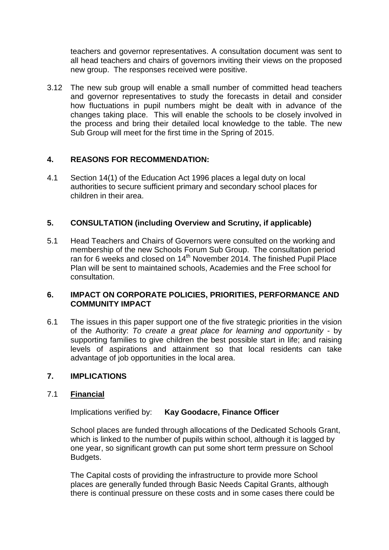teachers and governor representatives. A consultation document was sent to all head teachers and chairs of governors inviting their views on the proposed new group. The responses received were positive.

3.12 The new sub group will enable a small number of committed head teachers and governor representatives to study the forecasts in detail and consider how fluctuations in pupil numbers might be dealt with in advance of the changes taking place. This will enable the schools to be closely involved in the process and bring their detailed local knowledge to the table. The new Sub Group will meet for the first time in the Spring of 2015.

### **4. REASONS FOR RECOMMENDATION:**

4.1 Section 14(1) of the Education Act 1996 places a legal duty on local authorities to secure sufficient primary and secondary school places for children in their area.

### **5. CONSULTATION (including Overview and Scrutiny, if applicable)**

5.1 Head Teachers and Chairs of Governors were consulted on the working and membership of the new Schools Forum Sub Group. The consultation period ran for 6 weeks and closed on 14<sup>th</sup> November 2014. The finished Pupil Place Plan will be sent to maintained schools, Academies and the Free school for consultation.

#### **6. IMPACT ON CORPORATE POLICIES, PRIORITIES, PERFORMANCE AND COMMUNITY IMPACT**

6.1 The issues in this paper support one of the five strategic priorities in the vision of the Authority: *To create a great place for learning and opportunity* - by supporting families to give children the best possible start in life; and raising levels of aspirations and attainment so that local residents can take advantage of job opportunities in the local area.

#### **7. IMPLICATIONS**

#### 7.1 **Financial**

Implications verified by: **Kay Goodacre, Finance Officer**

School places are funded through allocations of the Dedicated Schools Grant, which is linked to the number of pupils within school, although it is lagged by one year, so significant growth can put some short term pressure on School Budgets.

The Capital costs of providing the infrastructure to provide more School places are generally funded through Basic Needs Capital Grants, although there is continual pressure on these costs and in some cases there could be